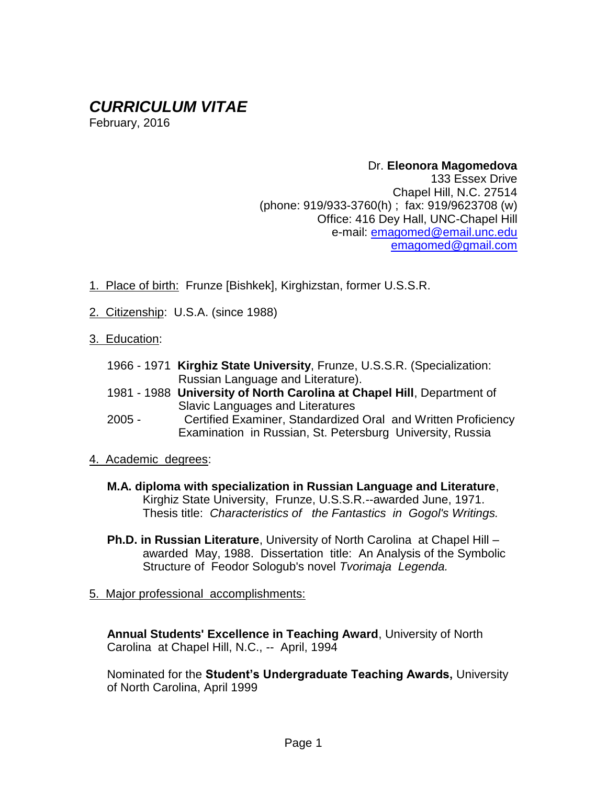# *CURRICULUM VITAE*

February, 2016

### Dr. **Eleonora Magomedova** 133 Essex Drive Chapel Hill, N.C. 27514 (phone: 919/933-3760(h) ; fax: 919/9623708 (w) Office: 416 Dey Hall, UNC-Chapel Hill e-mail: [emagomed@email.unc.edu](mailto:emagomed@email.unc.edu) emagomed@gmail.com

- 1. Place of birth: Frunze [Bishkek], Kirghizstan, former U.S.S.R.
- 2. Citizenship: U.S.A. (since 1988)
- 3. Education:
	- 1966 1971 **Kirghiz State University**, Frunze, U.S.S.R. (Specialization: Russian Language and Literature).
	- 1981 1988 **University of North Carolina at Chapel Hill**, Department of Slavic Languages and Literatures
	- 2005 Certified Examiner, Standardized Oral and Written Proficiency Examination in Russian, St. Petersburg University, Russia
- 4. Academic degrees:
	- **M.A. diploma with specialization in Russian Language and Literature**, Kirghiz State University, Frunze, U.S.S.R.--awarded June, 1971. Thesis title: *Characteristics of the Fantastics in Gogol's Writings.*
	- **Ph.D. in Russian Literature**, University of North Carolina at Chapel Hill awarded May, 1988. Dissertation title: An Analysis of the Symbolic Structure of Feodor Sologub's novel *Tvorimaja Legenda.*
- 5. Major professional accomplishments:

**Annual Students' Excellence in Teaching Award**, University of North Carolina at Chapel Hill, N.C., -- April, 1994

Nominated for the **Student's Undergraduate Teaching Awards,** University of North Carolina, April 1999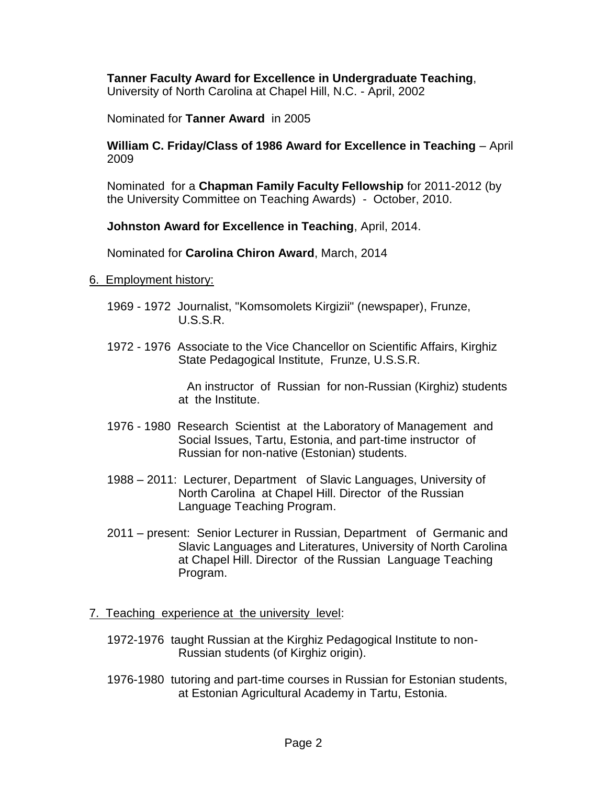## **Tanner Faculty Award for Excellence in Undergraduate Teaching**,

University of North Carolina at Chapel Hill, N.C. - April, 2002

Nominated for **Tanner Award** in 2005

**William C. Friday/Class of 1986 Award for Excellence in Teaching** – April 2009

Nominated for a **Chapman Family Faculty Fellowship** for 2011-2012 (by the University Committee on Teaching Awards) - October, 2010.

**Johnston Award for Excellence in Teaching**, April, 2014.

Nominated for **Carolina Chiron Award**, March, 2014

#### 6. Employment history:

- 1969 1972 Journalist, "Komsomolets Kirgizii" (newspaper), Frunze, U.S.S.R.
- 1972 1976 Associate to the Vice Chancellor on Scientific Affairs, Kirghiz State Pedagogical Institute, Frunze, U.S.S.R.

 An instructor of Russian for non-Russian (Kirghiz) students at the Institute.

- 1976 1980 Research Scientist at the Laboratory of Management and Social Issues, Tartu, Estonia, and part-time instructor of Russian for non-native (Estonian) students.
- 1988 2011: Lecturer, Department of Slavic Languages, University of North Carolina at Chapel Hill. Director of the Russian Language Teaching Program.
- 2011 present: Senior Lecturer in Russian, Department of Germanic and Slavic Languages and Literatures, University of North Carolina at Chapel Hill. Director of the Russian Language Teaching Program.

#### 7. Teaching experience at the university level:

- 1972-1976 taught Russian at the Kirghiz Pedagogical Institute to non-Russian students (of Kirghiz origin).
- 1976-1980 tutoring and part-time courses in Russian for Estonian students, at Estonian Agricultural Academy in Tartu, Estonia.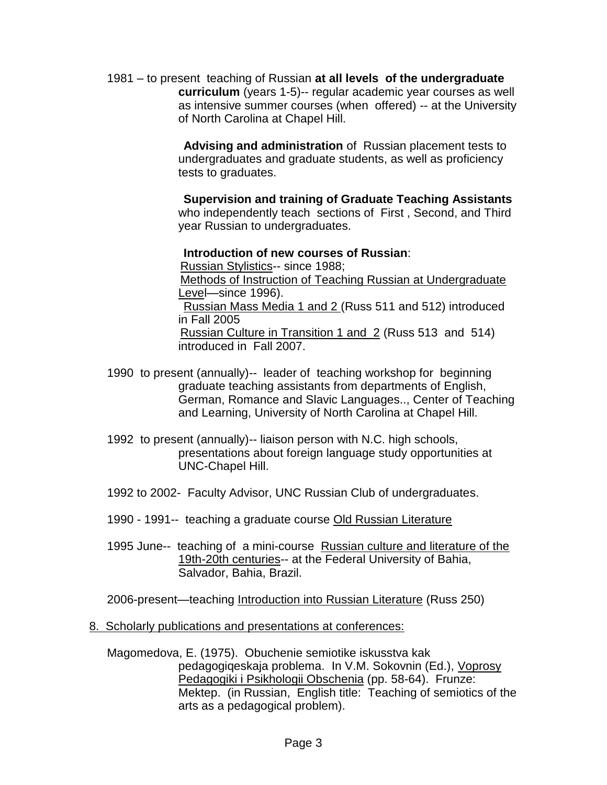1981 – to present teaching of Russian **at all levels of the undergraduate curriculum** (years 1-5)-- regular academic year courses as well as intensive summer courses (when offered) -- at the University of North Carolina at Chapel Hill.

> **Advising and administration** of Russian placement tests to undergraduates and graduate students, as well as proficiency tests to graduates.

 **Supervision and training of Graduate Teaching Assistants** who independently teach sections of First , Second, and Third year Russian to undergraduates.

### **Introduction of new courses of Russian**:

Russian Stylistics-- since 1988;

 Methods of Instruction of Teaching Russian at Undergraduate Level—since 1996).

 Russian Mass Media 1 and 2 (Russ 511 and 512) introduced in Fall 2005

 Russian Culture in Transition 1 and 2 (Russ 513 and 514) introduced in Fall 2007.

- 1990 to present (annually)-- leader of teaching workshop for beginning graduate teaching assistants from departments of English, German, Romance and Slavic Languages.., Center of Teaching and Learning, University of North Carolina at Chapel Hill.
- 1992 to present (annually)-- liaison person with N.C. high schools, presentations about foreign language study opportunities at UNC-Chapel Hill.
- 1992 to 2002- Faculty Advisor, UNC Russian Club of undergraduates.
- 1990 1991-- teaching a graduate course Old Russian Literature
- 1995 June-- teaching of a mini-course Russian culture and literature of the 19th-20th centuries-- at the Federal University of Bahia, Salvador, Bahia, Brazil.

2006-present—teaching Introduction into Russian Literature (Russ 250)

## 8. Scholarly publications and presentations at conferences:

Magomedova, E. (1975). Obuchenie semiotike iskusstva kak pedagogiqeskaja problema. In V.M. Sokovnin (Ed.), Voprosy Pedagogiki i Psikhologii Obschenia (pp. 58-64). Frunze: Mektep. (in Russian, English title: Teaching of semiotics of the arts as a pedagogical problem).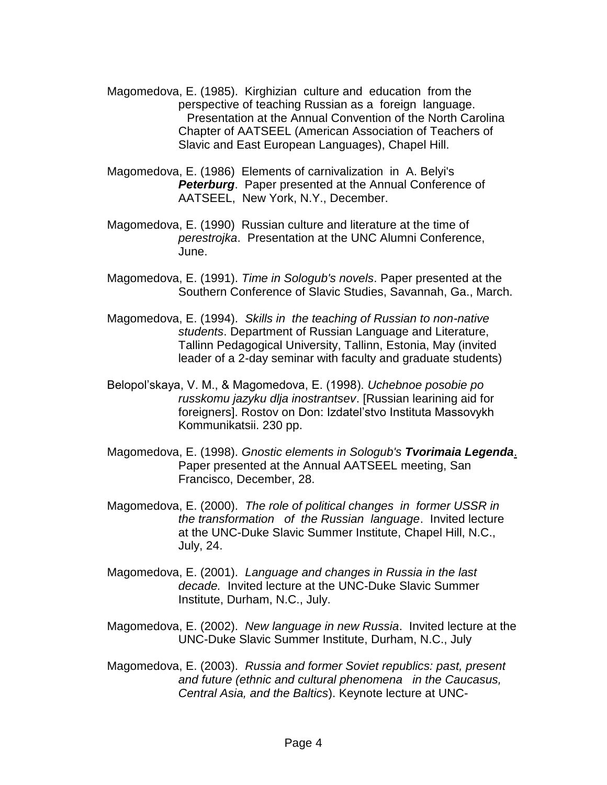- Magomedova, E. (1985). Kirghizian culture and education from the perspective of teaching Russian as a foreign language. Presentation at the Annual Convention of the North Carolina Chapter of AATSEEL (American Association of Teachers of Slavic and East European Languages), Chapel Hill.
- Magomedova, E. (1986) Elements of carnivalization in A. Belyi's **Peterburg.** Paper presented at the Annual Conference of AATSEEL, New York, N.Y., December.
- Magomedova, E. (1990) Russian culture and literature at the time of *perestrojka*. Presentation at the UNC Alumni Conference, June.
- Magomedova, E. (1991). *Time in Sologub's novels*. Paper presented at the Southern Conference of Slavic Studies, Savannah, Ga., March.
- Magomedova, E. (1994). *Skills in the teaching of Russian to non-native students*. Department of Russian Language and Literature, Tallinn Pedagogical University, Tallinn, Estonia, May (invited leader of a 2-day seminar with faculty and graduate students)
- Belopol'skaya, V. M., & Magomedova, E. (1998). *Uchebnoe posobie po russkomu jazyku dlja inostrantsev*. [Russian learining aid for foreigners]. Rostov on Don: Izdatel'stvo Instituta Massovykh Kommunikatsii. 230 pp.
- Magomedova, E. (1998). *Gnostic elements in Sologub's Tvorimaia Legenda*. Paper presented at the Annual AATSEEL meeting, San Francisco, December, 28.
- Magomedova, E. (2000). *The role of political changes in former USSR in the transformation of the Russian language*. Invited lecture at the UNC-Duke Slavic Summer Institute, Chapel Hill, N.C., July, 24.
- Magomedova, E. (2001). *Language and changes in Russia in the last decade.* Invited lecture at the UNC-Duke Slavic Summer Institute, Durham, N.C., July.
- Magomedova, E. (2002). *New language in new Russia*. Invited lecture at the UNC-Duke Slavic Summer Institute, Durham, N.C., July
- Magomedova, E. (2003). *Russia and former Soviet republics: past, present and future (ethnic and cultural phenomena in the Caucasus, Central Asia, and the Baltics*). Keynote lecture at UNC-